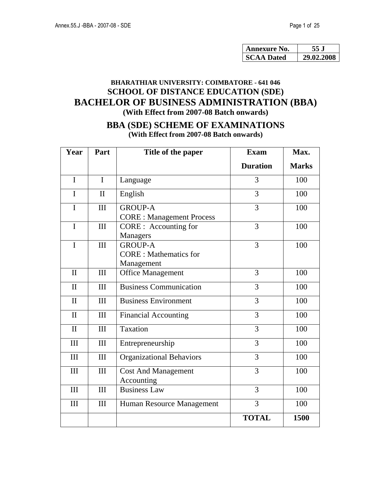| <b>Annexure No.</b> | 55 .I      |  |
|---------------------|------------|--|
| <b>SCAA Dated</b>   | 29.02.2008 |  |

## **BHARATHIAR UNIVERSITY: COIMBATORE - 641 046 SCHOOL OF DISTANCE EDUCATION (SDE) BACHELOR OF BUSINESS ADMINISTRATION (BBA) (With Effect from 2007-08 Batch onwards)**

**BBA (SDE) SCHEME OF EXAMINATIONS (With Effect from 2007-08 Batch onwards)** 

| Year         | Part         | Title of the paper                                            | <b>Exam</b>     | Max.         |
|--------------|--------------|---------------------------------------------------------------|-----------------|--------------|
|              |              |                                                               | <b>Duration</b> | <b>Marks</b> |
| $\mathbf{I}$ | $\mathbf{I}$ | Language                                                      | 3               | 100          |
| <sup>T</sup> | $\mathbf{I}$ | English                                                       | 3               | 100          |
| $\mathbf I$  | III          | <b>GROUP-A</b><br><b>CORE: Management Process</b>             | 3               | 100          |
| $\mathbf I$  | III          | <b>CORE</b> : Accounting for<br>Managers                      | 3               | 100          |
| $\mathbf I$  | III          | <b>GROUP-A</b><br><b>CORE</b> : Mathematics for<br>Management | 3               | 100          |
| $\mathbf{I}$ | III          | <b>Office Management</b>                                      | 3               | 100          |
| $\mathbf{I}$ | III          | <b>Business Communication</b>                                 | 3               | 100          |
| $\mathbf{I}$ | III          | <b>Business Environment</b>                                   | 3               | 100          |
| $\mathbf{I}$ | III          | <b>Financial Accounting</b>                                   | 3               | 100          |
| $\mathbf{I}$ | III          | Taxation                                                      | 3               | 100          |
| III          | III          | Entrepreneurship                                              | 3               | 100          |
| III          | III          | <b>Organizational Behaviors</b>                               | 3               | 100          |
| III          | III          | <b>Cost And Management</b><br>Accounting                      | 3               | 100          |
| III          | III          | <b>Business Law</b>                                           | 3               | 100          |
| Ш            | Ш            | Human Resource Management                                     | 3               | 100          |
|              |              |                                                               | <b>TOTAL</b>    | 1500         |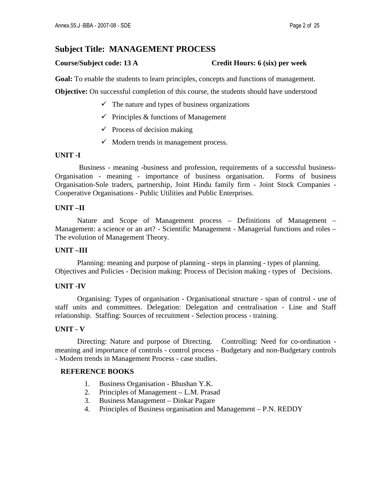#### **Subject Title: MANAGEMENT PROCESS**

#### **Course/Subject code: 13 A Credit Hours: 6 (six) per week**

**Goal:** To enable the students to learn principles, concepts and functions of management.

**Objective:** On successful completion of this course, the students should have understood

- $\checkmark$  The nature and types of business organizations
- $\checkmark$  Principles & functions of Management
- $\checkmark$  Process of decision making
- $\checkmark$  Modern trends in management process.

#### **UNIT -I**

 Business - meaning -business and profession, requirements of a successful business-Organisation - meaning - importance of business organisation. Forms of business Organisation-Sole traders, partnership, Joint Hindu family firm - Joint Stock Companies - Cooperative Organisations - Public Utilities and Public Enterprises.

#### **UNIT –II**

 Nature and Scope of Management process – Definitions of Management – Management: a science or an art? - Scientific Management - Managerial functions and roles – The evolution of Management Theory.

#### **UNIT –III**

 Planning: meaning and purpose of planning - steps in planning - types of planning. Objectives and Policies - Decision making: Process of Decision making - types of Decisions.

#### **UNIT -IV**

 Organising: Types of organisation - Organisational structure - span of control - use of staff units and committees. Delegation: Delegation and centralisation - Line and Staff relationship. Staffing: Sources of recruitment - Selection process - training.

#### **UNIT - V**

 Directing: Nature and purpose of Directing. Controlling: Need for co-ordination meaning and importance of controls - control process - Budgetary and non-Budgetary controls - Modern trends in Management Process - case studies.

#### **REFERENCE BOOKS**

- 1. Business Organisation Bhushan Y.K.
- 2. Principles of Management L.M. Prasad
- 3. Business Management Dinkar Pagare
- 4. Principles of Business organisation and Management P.N. REDDY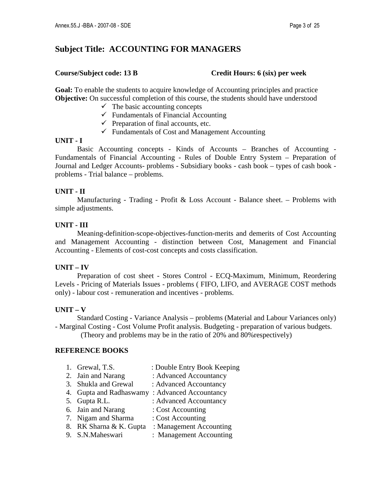## **Subject Title: ACCOUNTING FOR MANAGERS**

#### **Course/Subject code: 13 B Credit Hours: 6 (six) per week**

**Goal:** To enable the students to acquire knowledge of Accounting principles and practice **Objective:** On successful completion of this course, the students should have understood

- $\checkmark$  The basic accounting concepts
- $\checkmark$  Fundamentals of Financial Accounting
- $\checkmark$  Preparation of final accounts, etc.
- $\checkmark$  Fundamentals of Cost and Management Accounting

#### **UNIT - I**

 Basic Accounting concepts - Kinds of Accounts – Branches of Accounting - Fundamentals of Financial Accounting - Rules of Double Entry System – Preparation of Journal and Ledger Accounts- problems - Subsidiary books - cash book – types of cash book problems - Trial balance – problems.

#### **UNIT - II**

 Manufacturing - Trading - Profit & Loss Account - Balance sheet. – Problems with simple adjustments.

#### **UNIT - III**

 Meaning-definition-scope-objectives-function-merits and demerits of Cost Accounting and Management Accounting - distinction between Cost, Management and Financial Accounting - Elements of cost-cost concepts and costs classification.

#### **UNIT – IV**

 Preparation of cost sheet - Stores Control - ECQ-Maximum, Minimum, Reordering Levels - Pricing of Materials Issues - problems ( FIFO, LIFO, and AVERAGE COST methods only) - labour cost - remuneration and incentives - problems.

#### **UNIT – V**

 Standard Costing - Variance Analysis – problems (Material and Labour Variances only) - Marginal Costing - Cost Volume Profit analysis. Budgeting - preparation of various budgets. (Theory and problems may be in the ratio of 20% and 80%respectively)

#### **REFERENCE BOOKS**

| 1. Grewal, T.S.         | : Double Entry Book Keeping |
|-------------------------|-----------------------------|
| 2. Jain and Narang      | : Advanced Accountancy      |
| 3. Shukla and Grewal    | : Advanced Accountancy      |
| 4. Gupta and Radhaswamy | : Advanced Accountancy      |
| 5. Gupta R.L.           | : Advanced Accountancy      |
| 6. Jain and Narang      | : Cost Accounting           |
| 7. Nigam and Sharma     | : Cost Accounting           |
| 8. RK Sharna & K. Gupta | : Management Accounting     |
| 9. S.N.Maheswari        | : Management Accounting     |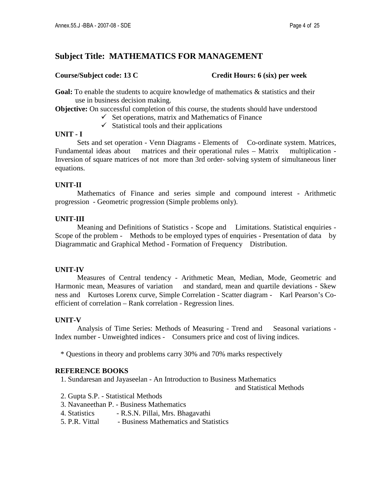## **Subject Title: MATHEMATICS FOR MANAGEMENT**

#### **Course/Subject code: 13 C** Credit Hours: 6 (six) per week

**Goal:** To enable the students to acquire knowledge of mathematics & statistics and their use in business decision making.

**Objective:** On successful completion of this course, the students should have understood

- $\checkmark$  Set operations, matrix and Mathematics of Finance
- $\checkmark$  Statistical tools and their applications

#### **UNIT - I**

 Sets and set operation - Venn Diagrams - Elements of Co-ordinate system. Matrices, Fundamental ideas about matrices and their operational rules – Matrix multiplication - Inversion of square matrices of not more than 3rd order- solving system of simultaneous liner equations.

#### **UNIT-II**

 Mathematics of Finance and series simple and compound interest - Arithmetic progression - Geometric progression (Simple problems only).

#### **UNIT-III**

 Meaning and Definitions of Statistics - Scope and Limitations. Statistical enquiries - Scope of the problem - Methods to be employed types of enquiries - Presentation of data by Diagrammatic and Graphical Method - Formation of Frequency Distribution.

#### **UNIT-IV**

 Measures of Central tendency - Arithmetic Mean, Median, Mode, Geometric and Harmonic mean, Measures of variation and standard, mean and quartile deviations - Skew ness and Kurtoses Lorenx curve, Simple Correlation - Scatter diagram - Karl Pearson's Coefficient of correlation – Rank correlation - Regression lines.

#### **UNIT-V**

 Analysis of Time Series: Methods of Measuring - Trend and Seasonal variations - Index number - Unweighted indices - Consumers price and cost of living indices.

\* Questions in theory and problems carry 30% and 70% marks respectively

#### **REFERENCE BOOKS**

1. Sundaresan and Jayaseelan - An Introduction to Business Mathematics

and Statistical Methods

- 2. Gupta S.P. Statistical Methods
- 3. Navaneethan P. Business Mathematics
- 4. Statistics R.S.N. Pillai, Mrs. Bhagavathi
- 5. P.R. Vittal Business Mathematics and Statistics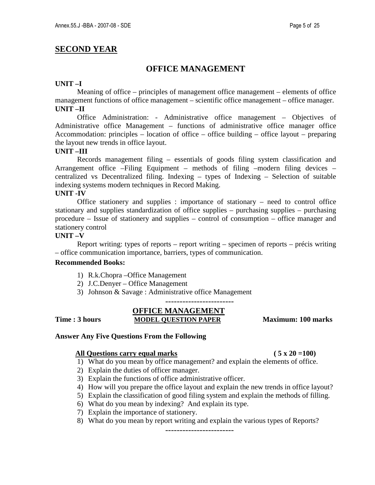### **SECOND YEAR**

## **OFFICE MANAGEMENT**

#### **UNIT –I**

Meaning of office – principles of management office management – elements of office management functions of office management – scientific office management – office manager. **UNIT –II** 

 Office Administration: - Administrative office management – Objectives of Administrative office Management – functions of administrative office manager office Accommodation: principles – location of office – office building – office layout – preparing the layout new trends in office layout.

#### **UNIT –III**

 Records management filing – essentials of goods filing system classification and Arrangement office –Filing Equipment – methods of filing –modern filing devices – centralized vs Decentralized filing. Indexing – types of Indexing – Selection of suitable indexing systems modern techniques in Record Making.

#### **UNIT -IV**

 Office stationery and supplies : importance of stationary – need to control office stationary and supplies standardization of office supplies – purchasing supplies – purchasing procedure – Issue of stationery and supplies – control of consumption – office manager and stationery control

#### **UNIT –V**

Report writing: types of reports – report writing – specimen of reports – précis writing – office communication importance, barriers, types of communication.

------------------------

#### **Recommended Books:**

- 1) R.k.Chopra –Office Management
- 2) J.C.Denyer Office Management
- 3) Johnson & Savage : Administrative office Management

# **OFFICE MANAGEMENT**

# **Time : 3 hours MODEL QUESTION PAPER Maximum: 100 marks**

#### **Answer Any Five Questions From the Following**

#### **All Questions carry equal marks ( 5 x 20 =100)**

1) What do you mean by office management? and explain the elements of office.

- 2) Explain the duties of officer manager.
- 3) Explain the functions of office administrative officer.
- 4) How will you prepare the office layout and explain the new trends in office layout?
- 5) Explain the classification of good filing system and explain the methods of filling.
- 6) What do you mean by indexing? And explain its type.
- 7) Explain the importance of stationery.
- 8) What do you mean by report writing and explain the various types of Reports?

------------------------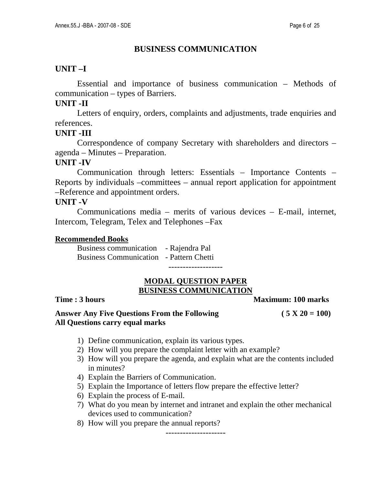## **BUSINESS COMMUNICATION**

## **UNIT –I**

 Essential and importance of business communication – Methods of communication – types of Barriers.

#### **UNIT -II**

 Letters of enquiry, orders, complaints and adjustments, trade enquiries and references.

### **UNIT -III**

 Correspondence of company Secretary with shareholders and directors – agenda – Minutes – Preparation.

#### **UNIT -IV**

 Communication through letters: Essentials – Importance Contents – Reports by individuals –committees – annual report application for appointment –Reference and appointment orders.

## **UNIT -V**

 Communications media – merits of various devices – E-mail, internet, Intercom, Telegram, Telex and Telephones –Fax

#### **Recommended Books**

 Business communication - Rajendra Pal Business Communication - Pattern Chetti -------------------

#### **MODAL QUESTION PAPER BUSINESS COMMUNICATION**

**Time : 3 hours and the set of the set of the set of the Maximum: 100 marks** 

Answer Any Five Questions From the Following (5 X 20 = 100) **All Questions carry equal marks** 

- 1) Define communication, explain its various types.
- 2) How will you prepare the complaint letter with an example?
- 3) How will you prepare the agenda, and explain what are the contents included in minutes?
- 4) Explain the Barriers of Communication.
- 5) Explain the Importance of letters flow prepare the effective letter?
- 6) Explain the process of E-mail.
- 7) What do you mean by internet and intranet and explain the other mechanical devices used to communication?
- 8) How will you prepare the annual reports?

---------------------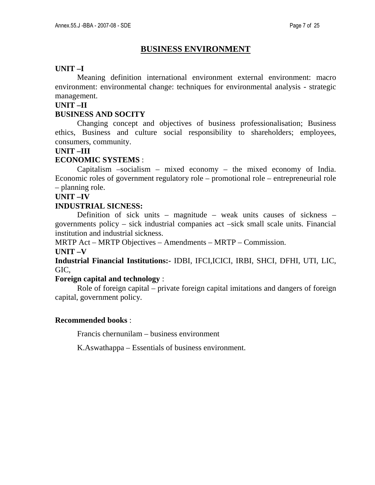### **BUSINESS ENVIRONMENT**

#### **UNIT –I**

 Meaning definition international environment external environment: macro environment: environmental change: techniques for environmental analysis - strategic management.

#### **UNIT –II**

#### **BUSINESS AND SOCITY**

 Changing concept and objectives of business professionalisation; Business ethics, Business and culture social responsibility to shareholders; employees, consumers, community.

#### **UNIT –III**

#### **ECONOMIC SYSTEMS** :

 Capitalism –socialism – mixed economy – the mixed economy of India. Economic roles of government regulatory role – promotional role – entrepreneurial role – planning role.

#### **UNIT –IV**

#### **INDUSTRIAL SICNESS:**

 Definition of sick units – magnitude – weak units causes of sickness – governments policy – sick industrial companies act –sick small scale units. Financial institution and industrial sickness.

MRTP Act – MRTP Objectives – Amendments – MRTP – Commission. **UNIT –V** 

**Industrial Financial Institutions:-** IDBI, IFCI,ICICI, IRBI, SHCI, DFHI, UTI, LIC, GIC,

#### **Foreign capital and technology** :

 Role of foreign capital – private foreign capital imitations and dangers of foreign capital, government policy.

#### **Recommended books** :

Francis chernunilam – business environment

K.Aswathappa – Essentials of business environment.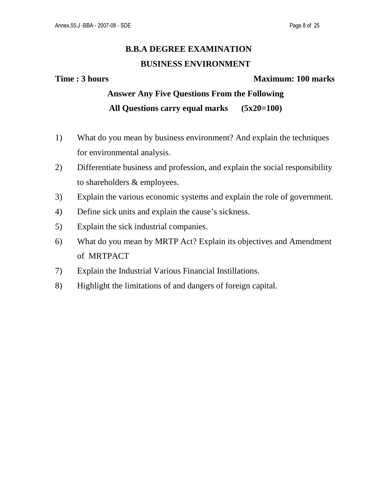# **B.B.A DEGREE EXAMINATION BUSINESS ENVIRONMENT**

## **Time : 3 hours** Maximum: 100 marks

- 1) What do you mean by business environment? And explain the techniques for environmental analysis.
- 2) Differentiate business and profession, and explain the social responsibility to shareholders & employees.
- 3) Explain the various economic systems and explain the role of government.
- 4) Define sick units and explain the cause's sickness.
- 5) Explain the sick industrial companies.
- 6) What do you mean by MRTP Act? Explain its objectives and Amendment of MRTPACT
- 7) Explain the Industrial Various Financial Instillations.
- 8) Highlight the limitations of and dangers of foreign capital.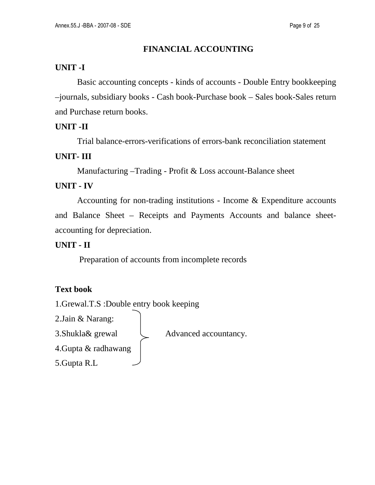## **FINANCIAL ACCOUNTING**

## **UNIT -I**

Basic accounting concepts - kinds of accounts - Double Entry bookkeeping –journals, subsidiary books - Cash book-Purchase book – Sales book-Sales return and Purchase return books.

## **UNIT -II**

Trial balance-errors-verifications of errors-bank reconciliation statement

## **UNIT- III**

Manufacturing –Trading - Profit & Loss account-Balance sheet

## **UNIT - IV**

Accounting for non-trading institutions - Income & Expenditure accounts and Balance Sheet – Receipts and Payments Accounts and balance sheetaccounting for depreciation.

## **UNIT - II**

Preparation of accounts from incomplete records

## **Text book**

1.Grewal.T.S :Double entry book keeping

2.Jain & Narang:

3. Shukla & grewal Advanced accountancy.

4.Gupta & radhawang

5.Gupta R.L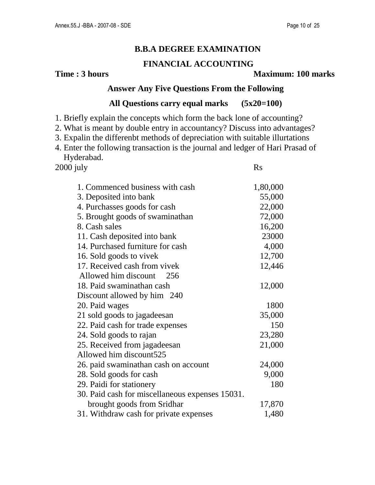### **B.B.A DEGREE EXAMINATION**

#### **FINANCIAL ACCOUNTING**

#### **Time : 3 hours Maximum: 100 marks**

## **Answer Any Five Questions From the Following**

#### **All Questions carry equal marks (5x20=100)**

1. Briefly explain the concepts which form the back lone of accounting?

2. What is meant by double entry in accountancy? Discuss into advantages?

3. Expalin the differenbt methods of depreciation with suitable illurtations

4. Enter the following transaction is the journal and ledger of Hari Prasad of Hyderabad.

| $2000$ july |  |
|-------------|--|
|             |  |

| 1. Commenced business with cash                 | 1,80,000 |
|-------------------------------------------------|----------|
| 3. Deposited into bank                          | 55,000   |
| 4. Purchasses goods for cash                    | 22,000   |
| 5. Brought goods of swaminathan                 | 72,000   |
| 8. Cash sales                                   | 16,200   |
| 11. Cash deposited into bank                    | 23000    |
| 14. Purchased furniture for cash                | 4,000    |
| 16. Sold goods to vivek                         | 12,700   |
| 17. Received cash from vivek                    | 12,446   |
| Allowed him discount<br>256                     |          |
| 18. Paid swaminathan cash                       | 12,000   |
| Discount allowed by him 240                     |          |
| 20. Paid wages                                  | 1800     |
| 21 sold goods to jagadeesan                     | 35,000   |
| 22. Paid cash for trade expenses                | 150      |
| 24. Sold goods to rajan                         | 23,280   |
| 25. Received from jagadeesan                    | 21,000   |
| Allowed him discount525                         |          |
| 26. paid swaminathan cash on account            | 24,000   |
| 28. Sold goods for cash                         | 9,000    |
| 29. Paidi for stationery                        | 180      |
| 30. Paid cash for miscellaneous expenses 15031. |          |
| brought goods from Sridhar                      | 17,870   |
| 31. Withdraw cash for private expenses          | 1,480    |
|                                                 |          |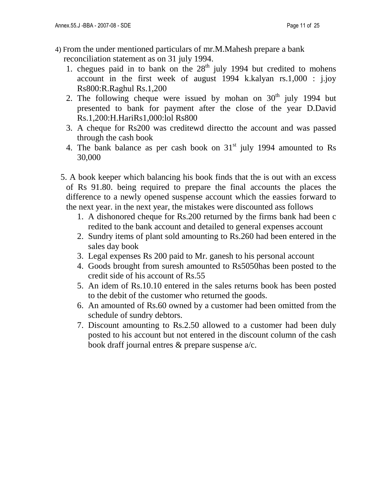- 4) From the under mentioned particulars of mr.M.Mahesh prepare a bank reconciliation statement as on 31 july 1994.
	- 1. chegues paid in to bank on the  $28<sup>th</sup>$  july 1994 but credited to mohens account in the first week of august 1994 k.kalyan rs.1,000 : j.joy Rs800:R.Raghul Rs.1,200
	- 2. The following cheque were issued by mohan on  $30<sup>th</sup>$  july 1994 but presented to bank for payment after the close of the year D.David Rs.1,200:H.HariRs1,000:lol Rs800
	- 3. A cheque for Rs200 was creditewd directto the account and was passed through the cash book
	- 4. The bank balance as per cash book on  $31<sup>st</sup>$  july 1994 amounted to Rs 30,000
	- 5. A book keeper which balancing his book finds that the is out with an excess of Rs 91.80. being required to prepare the final accounts the places the difference to a newly opened suspense account which the eassies forward to the next year. in the next year, the mistakes were discounted ass follows
		- 1. A dishonored cheque for Rs.200 returned by the firms bank had been c redited to the bank account and detailed to general expenses account
		- 2. Sundry items of plant sold amounting to Rs.260 had been entered in the sales day book
		- 3. Legal expenses Rs 200 paid to Mr. ganesh to his personal account
		- 4. Goods brought from suresh amounted to Rs5050has been posted to the credit side of his account of Rs.55
		- 5. An idem of Rs.10.10 entered in the sales returns book has been posted to the debit of the customer who returned the goods.
		- 6. An amounted of Rs.60 owned by a customer had been omitted from the schedule of sundry debtors.
		- 7. Discount amounting to Rs.2.50 allowed to a customer had been duly posted to his account but not entered in the discount column of the cash book draff journal entres & prepare suspense a/c.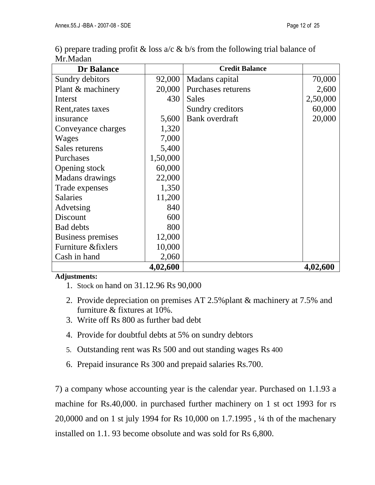| <b>Dr Balance</b>        |          | <b>Credit Balance</b> |          |
|--------------------------|----------|-----------------------|----------|
| Sundry debitors          | 92,000   | Madans capital        | 70,000   |
| Plant & machinery        | 20,000   | Purchases returens    | 2,600    |
| Interst                  | 430      | <b>Sales</b>          | 2,50,000 |
| Rent, rates taxes        |          | Sundry creditors      | 60,000   |
| insurance                | 5,600    | <b>Bank</b> overdraft | 20,000   |
| Conveyance charges       | 1,320    |                       |          |
| Wages                    | 7,000    |                       |          |
| Sales returens           | 5,400    |                       |          |
| Purchases                | 1,50,000 |                       |          |
| Opening stock            | 60,000   |                       |          |
| <b>Madans</b> drawings   | 22,000   |                       |          |
| Trade expenses           | 1,350    |                       |          |
| <b>Salaries</b>          | 11,200   |                       |          |
| Advetsing                | 840      |                       |          |
| Discount                 | 600      |                       |          |
| <b>Bad debts</b>         | 800      |                       |          |
| <b>Business premises</b> | 12,000   |                       |          |
| Furniture &fixlers       | 10,000   |                       |          |
| Cash in hand             | 2,060    |                       |          |
|                          | 4,02,600 |                       | 4,02,600 |

6) prepare trading profit & loss  $a/c \& b/s$  from the following trial balance of Mr.Madan

### **Adjustments:**

- 1. Stock on hand on 31.12.96 Rs 90,000
- 2. Provide depreciation on premises AT 2.5%plant & machinery at 7.5% and furniture & fixtures at 10%.
- 3. Write off Rs 800 as further bad debt
- 4. Provide for doubtful debts at 5% on sundry debtors
- 5. Outstanding rent was Rs 500 and out standing wages Rs 400
- 6. Prepaid insurance Rs 300 and prepaid salaries Rs.700.

7) a company whose accounting year is the calendar year. Purchased on 1.1.93 a machine for Rs.40,000. in purchased further machinery on 1 st oct 1993 for rs 20,0000 and on 1 st july 1994 for Rs 10,000 on 1.7.1995 , ¼ th of the machenary installed on 1.1. 93 become obsolute and was sold for Rs 6,800.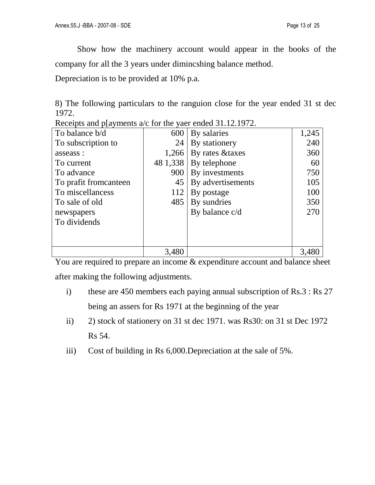Show how the machinery account would appear in the books of the company for all the 3 years under dimincshing balance method.

Depreciation is to be provided at 10% p.a.

8) The following particulars to the ranguion close for the year ended 31 st dec 1972.

| To balance b/d         | 600      | By salaries       | 1,245 |
|------------------------|----------|-------------------|-------|
| To subscription to     | 24       | By stationery     | 240   |
| asseass :              | 1,266    | By rates & taxes  | 360   |
| To current             | 48 1,338 | By telephone      | 60    |
| To advance             | 900      | By investments    | 750   |
| To prafit from canteen | 45       | By advertisements | 105   |
| To miscellancess       | 112      | By postage        | 100   |
| To sale of old         | 485      | By sundries       | 350   |
| newspapers             |          | By balance c/d    | 270   |
| To dividends           |          |                   |       |
|                        |          |                   |       |
|                        |          |                   |       |
|                        | 3,480    |                   | 3,480 |

|  |  |  | Receipts and p[ayments a/c for the yaer ended 31.12.1972. |
|--|--|--|-----------------------------------------------------------|
|--|--|--|-----------------------------------------------------------|

You are required to prepare an income & expenditure account and balance sheet after making the following adjustments.

- i) these are 450 members each paying annual subscription of Rs.3 : Rs 27 being an assers for Rs 1971 at the beginning of the year
- ii) 2) stock of stationery on 31 st dec 1971. was Rs30: on 31 st Dec 1972 Rs 54.
- iii) Cost of building in Rs 6,000.Depreciation at the sale of 5%.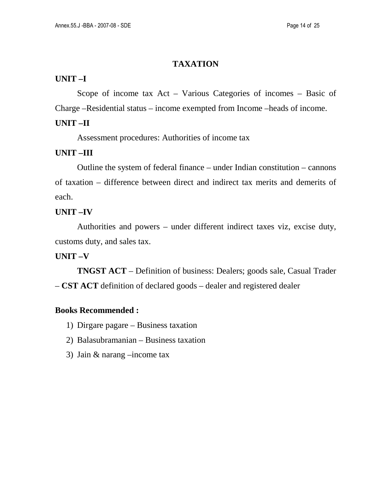## **TAXATION**

## **UNIT –I**

 Scope of income tax Act – Various Categories of incomes – Basic of Charge –Residential status – income exempted from Income –heads of income.

## **UNIT –II**

Assessment procedures: Authorities of income tax

## **UNIT –III**

 Outline the system of federal finance – under Indian constitution – cannons of taxation – difference between direct and indirect tax merits and demerits of each.

## **UNIT –IV**

 Authorities and powers – under different indirect taxes viz, excise duty, customs duty, and sales tax.

## **UNIT –V**

**TNGST ACT** – Definition of business: Dealers; goods sale, Casual Trader – **CST ACT** definition of declared goods – dealer and registered dealer

## **Books Recommended :**

- 1) Dirgare pagare Business taxation
- 2) Balasubramanian Business taxation
- 3) Jain & narang –income tax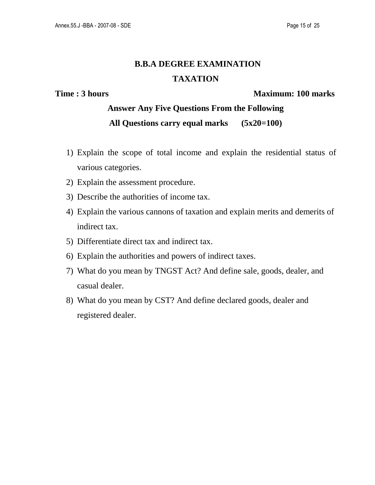# **B.B.A DEGREE EXAMINATION TAXATION**

## **Time : 3 hours Maximum: 100 marks**

- 1) Explain the scope of total income and explain the residential status of various categories.
- 2) Explain the assessment procedure.
- 3) Describe the authorities of income tax.
- 4) Explain the various cannons of taxation and explain merits and demerits of indirect tax.
- 5) Differentiate direct tax and indirect tax.
- 6) Explain the authorities and powers of indirect taxes.
- 7) What do you mean by TNGST Act? And define sale, goods, dealer, and casual dealer.
- 8) What do you mean by CST? And define declared goods, dealer and registered dealer.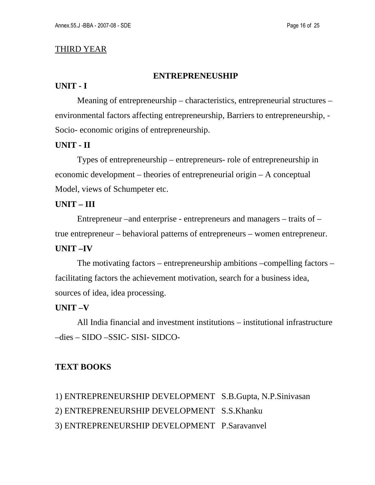#### THIRD YEAR

#### **ENTREPRENEUSHIP**

#### **UNIT - I**

 Meaning of entrepreneurship – characteristics, entrepreneurial structures – environmental factors affecting entrepreneurship, Barriers to entrepreneurship, -Socio- economic origins of entrepreneurship.

#### **UNIT - II**

 Types of entrepreneurship – entrepreneurs- role of entrepreneurship in economic development – theories of entrepreneurial origin – A conceptual Model, views of Schumpeter etc.

#### **UNIT – III**

 Entrepreneur –and enterprise - entrepreneurs and managers – traits of – true entrepreneur – behavioral patterns of entrepreneurs – women entrepreneur. **UNIT –IV** 

 The motivating factors – entrepreneurship ambitions –compelling factors – facilitating factors the achievement motivation, search for a business idea, sources of idea, idea processing.

### **UNIT –V**

 All India financial and investment institutions – institutional infrastructure –dies – SIDO –SSIC- SISI- SIDCO-

## **TEXT BOOKS**

1) ENTREPRENEURSHIP DEVELOPMENT S.B.Gupta, N.P.Sinivasan 2) ENTREPRENEURSHIP DEVELOPMENT S.S.Khanku 3) ENTREPRENEURSHIP DEVELOPMENT P.Saravanvel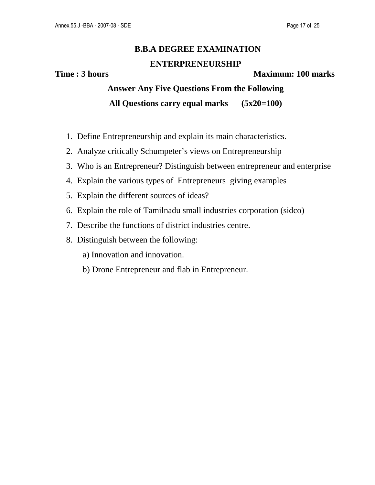# **B.B.A DEGREE EXAMINATION ENTERPRENEURSHIP**

### **Time : 3 hours Maximum: 100 marks**

- 1. Define Entrepreneurship and explain its main characteristics.
- 2. Analyze critically Schumpeter's views on Entrepreneurship
- 3. Who is an Entrepreneur? Distinguish between entrepreneur and enterprise
- 4. Explain the various types of Entrepreneurs giving examples
- 5. Explain the different sources of ideas?
- 6. Explain the role of Tamilnadu small industries corporation (sidco)
- 7. Describe the functions of district industries centre.
- 8. Distinguish between the following:
	- a) Innovation and innovation.
	- b) Drone Entrepreneur and flab in Entrepreneur.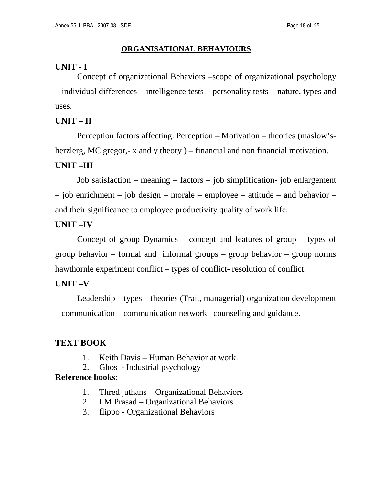#### **ORGANISATIONAL BEHAVIOURS**

## **UNIT - I**

Concept of organizational Behaviors –scope of organizational psychology – individual differences – intelligence tests – personality tests – nature, types and uses.

### **UNIT – II**

 Perception factors affecting. Perception – Motivation – theories (maslow'sherzlerg, MC gregor,- x and y theory ) – financial and non financial motivation.

### **UNIT –III**

 Job satisfaction – meaning – factors – job simplification- job enlargement – job enrichment – job design – morale – employee – attitude – and behavior – and their significance to employee productivity quality of work life.

## **UNIT –IV**

 Concept of group Dynamics – concept and features of group – types of group behavior – formal and informal groups – group behavior – group norms hawthornle experiment conflict – types of conflict- resolution of conflict.

## **UNIT –V**

 Leadership – types – theories (Trait, managerial) organization development – communication – communication network –counseling and guidance.

## **TEXT BOOK**

- 1. Keith Davis Human Behavior at work.
- 2. Ghos Industrial psychology

### **Reference books:**

- 1. Thred juthans Organizational Behaviors
- 2. I.M Prasad Organizational Behaviors
- 3. flippo Organizational Behaviors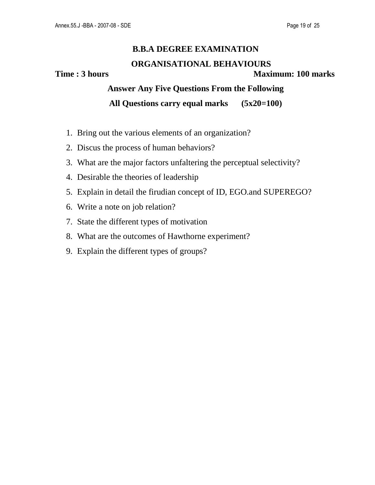# **B.B.A DEGREE EXAMINATION ORGANISATIONAL BEHAVIOURS Time : 3 hours Maximum: 100 marks**

- 1. Bring out the various elements of an organization?
- 2. Discus the process of human behaviors?
- 3. What are the major factors unfaltering the perceptual selectivity?
- 4. Desirable the theories of leadership
- 5. Explain in detail the firudian concept of ID, EGO.and SUPEREGO?
- 6. Write a note on job relation?
- 7. State the different types of motivation
- 8. What are the outcomes of Hawthorne experiment?
- 9. Explain the different types of groups?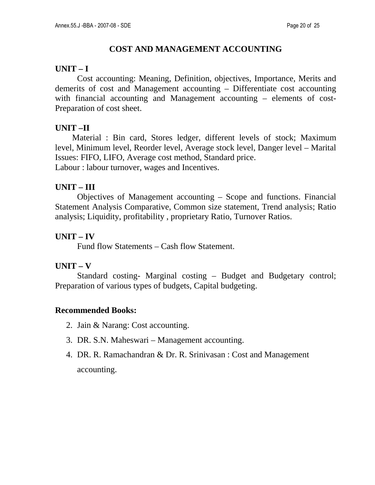## **COST AND MANAGEMENT ACCOUNTING**

## **UNIT – I**

 Cost accounting: Meaning, Definition, objectives, Importance, Merits and demerits of cost and Management accounting – Differentiate cost accounting with financial accounting and Management accounting – elements of cost-Preparation of cost sheet.

## **UNIT –II**

 Material : Bin card, Stores ledger, different levels of stock; Maximum level, Minimum level, Reorder level, Average stock level, Danger level – Marital Issues: FIFO, LIFO, Average cost method, Standard price. Labour : labour turnover, wages and Incentives.

## **UNIT – III**

 Objectives of Management accounting – Scope and functions. Financial Statement Analysis Comparative, Common size statement, Trend analysis; Ratio analysis; Liquidity, profitability , proprietary Ratio, Turnover Ratios.

## **UNIT – IV**

Fund flow Statements – Cash flow Statement.

### **UNIT – V**

 Standard costing- Marginal costing – Budget and Budgetary control; Preparation of various types of budgets, Capital budgeting.

## **Recommended Books:**

- 2. Jain & Narang: Cost accounting.
- 3. DR. S.N. Maheswari Management accounting.
- 4. DR. R. Ramachandran & Dr. R. Srinivasan : Cost and Management accounting.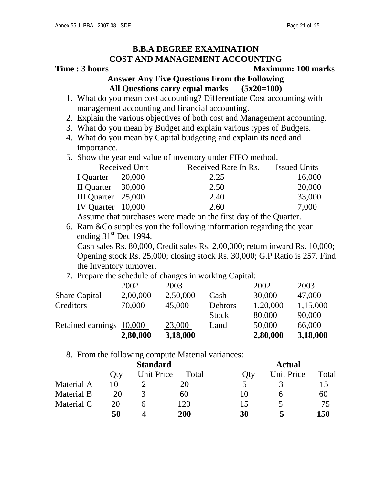## **B.B.A DEGREE EXAMINATION COST AND MANAGEMENT ACCOUNTING**

## **Time : 3 hours Maximum: 100 marks**

### **Answer Any Five Questions From the Following All Questions carry equal marks (5x20=100)**

- 1. What do you mean cost accounting? Differentiate Cost accounting with management accounting and financial accounting.
- 2. Explain the various objectives of both cost and Management accounting.
- 3. What do you mean by Budget and explain various types of Budgets.
- 4. What do you mean by Capital budgeting and explain its need and importance.
- 5. Show the year end value of inventory under FIFO method.

|                    | Received Unit | Received Rate In Rs. | <b>Issued Units</b> |
|--------------------|---------------|----------------------|---------------------|
| I Quarter 20,000   |               | 2.25                 | 16,000              |
| II Quarter 30,000  |               | 2.50                 | 20,000              |
| III Quarter 25,000 |               | 2.40                 | 33,000              |
| IV Quarter 10,000  |               | 2.60                 | 7.000               |

Assume that purchases were made on the first day of the Quarter.

6. Ram &Co supplies you the following information regarding the year ending  $31<sup>st</sup>$  Dec 1994.

Cash sales Rs. 80,000, Credit sales Rs. 2,00,000; return inward Rs. 10,000; Opening stock Rs. 25,000; closing stock Rs. 30,000; G.P Ratio is 257. Find the Inventory turnover.

## 7. Prepare the schedule of changes in working Capital:

| Retained earnings 10,000          | 2,80,000           | 23,000<br>3,18,000 | Land                            | 50,000<br>2,80,000           | 66,000<br>3,18,000           |
|-----------------------------------|--------------------|--------------------|---------------------------------|------------------------------|------------------------------|
| <b>Share Capital</b><br>Creditors | 2,00,000<br>70,000 | 2,50,000<br>45,000 | Cash<br>Debtors<br><b>Stock</b> | 30,000<br>1,20,000<br>80,000 | 47,000<br>1,15,000<br>90,000 |
|                                   | 2002               | 2003               |                                 | 2002                         | 2003                         |

8. From the following compute Material variances:

|            | <b>Standard</b> |                   |       |     |                   |       |
|------------|-----------------|-------------------|-------|-----|-------------------|-------|
|            | Qty             | <b>Unit Price</b> | Total | Oty | <b>Unit Price</b> | Total |
| Material A |                 |                   | 20    |     |                   |       |
| Material B | 20              |                   | 60    |     |                   | 60    |
| Material C | 20              |                   | 120   | 15  |                   | 75    |
|            | 50              |                   | 200   | 30  |                   | 150   |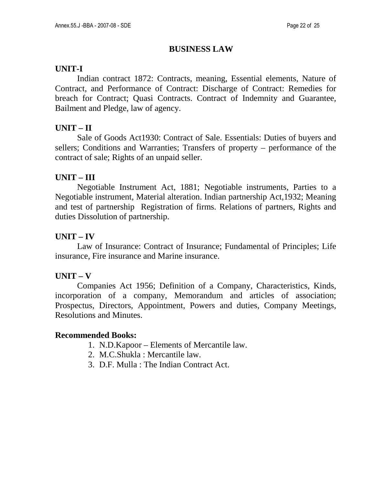## **BUSINESS LAW**

## **UNIT-I**

Indian contract 1872: Contracts, meaning, Essential elements, Nature of Contract, and Performance of Contract: Discharge of Contract: Remedies for breach for Contract; Quasi Contracts. Contract of Indemnity and Guarantee, Bailment and Pledge, law of agency.

## **UNIT – II**

Sale of Goods Act1930: Contract of Sale. Essentials: Duties of buyers and sellers; Conditions and Warranties; Transfers of property – performance of the contract of sale; Rights of an unpaid seller.

## **UNIT – III**

 Negotiable Instrument Act, 1881; Negotiable instruments, Parties to a Negotiable instrument, Material alteration. Indian partnership Act,1932; Meaning and test of partnership Registration of firms. Relations of partners, Rights and duties Dissolution of partnership.

## **UNIT – IV**

 Law of Insurance: Contract of Insurance; Fundamental of Principles; Life insurance, Fire insurance and Marine insurance.

## **UNIT – V**

 Companies Act 1956; Definition of a Company, Characteristics, Kinds, incorporation of a company, Memorandum and articles of association; Prospectus, Directors, Appointment, Powers and duties, Company Meetings, Resolutions and Minutes.

## **Recommended Books:**

- 1. N.D.Kapoor Elements of Mercantile law.
- 2. M.C.Shukla : Mercantile law.
- 3. D.F. Mulla : The Indian Contract Act.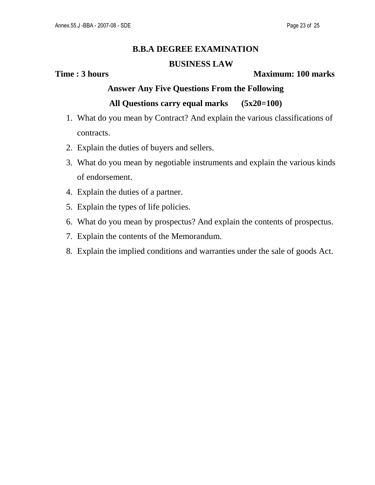## **B.B.A DEGREE EXAMINATION**

### **BUSINESS LAW**

### **Time : 3 hours Maximum: 100 marks**

- 1. What do you mean by Contract? And explain the various classifications of contracts.
- 2. Explain the duties of buyers and sellers.
- 3. What do you mean by negotiable instruments and explain the various kinds of endorsement.
- 4. Explain the duties of a partner.
- 5. Explain the types of life policies.
- 6. What do you mean by prospectus? And explain the contents of prospectus.
- 7. Explain the contents of the Memorandum.
- 8. Explain the implied conditions and warranties under the sale of goods Act.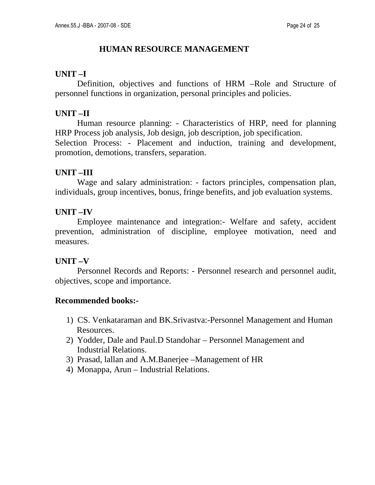## **HUMAN RESOURCE MANAGEMENT**

### **UNIT –I**

 Definition, objectives and functions of HRM –Role and Structure of personnel functions in organization, personal principles and policies.

## **UNIT –II**

 Human resource planning: - Characteristics of HRP, need for planning HRP Process job analysis, Job design, job description, job specification. Selection Process: - Placement and induction, training and development, promotion, demotions, transfers, separation.

## **UNIT –III**

 Wage and salary administration: - factors principles, compensation plan, individuals, group incentives, bonus, fringe benefits, and job evaluation systems.

## **UNIT –IV**

 Employee maintenance and integration:- Welfare and safety, accident prevention, administration of discipline, employee motivation, need and measures.

## **UNIT –V**

 Personnel Records and Reports: - Personnel research and personnel audit, objectives, scope and importance.

## **Recommended books:-**

- 1) CS. Venkataraman and BK.Srivastva:-Personnel Management and Human Resources.
- 2) Yodder, Dale and Paul.D Standohar Personnel Management and Industrial Relations.
- 3) Prasad, lallan and A.M.Banerjee –Management of HR
- 4) Monappa, Arun Industrial Relations.